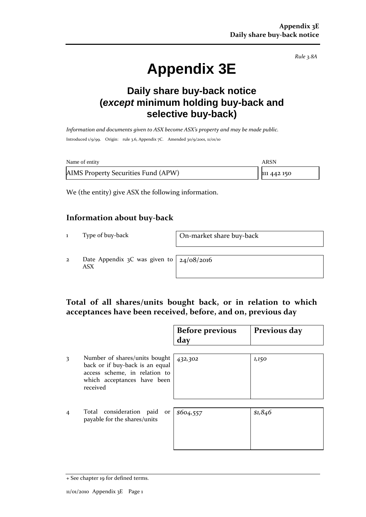*Rule 3.8A*

# **Appendix 3E**

# **Daily share buy-back notice (***except* **minimum holding buy-back and selective buy-back)**

*Information and documents given to ASX become ASX's property and may be made public.* Introduced 1/9/99. Origin: rule 3.6, Appendix 7C. Amended 30/9/2001, 11/01/10

| Name of entity                      | ARSN        |
|-------------------------------------|-------------|
| AIMS Property Securities Fund (APW) | 111 442 150 |

We (the entity) give ASX the following information.

#### **Information about buy-back**

1 Type of buy-back On-market share buy-back

2 Date Appendix 3C was given to ASX

24/08/2016

## **Total of all shares/units bought back, or in relation to which acceptances have been received, before, and on, previous day**

|                |                                                                                                                                              | <b>Before previous</b><br>day | Previous day |
|----------------|----------------------------------------------------------------------------------------------------------------------------------------------|-------------------------------|--------------|
| 3              | Number of shares/units bought<br>back or if buy-back is an equal<br>access scheme, in relation to<br>which acceptances have been<br>received | 432,302                       | 1,150        |
| $\overline{4}$ | Total consideration paid<br>or<br>payable for the shares/units                                                                               | \$604,557                     | \$1,846      |

<sup>+</sup> See chapter 19 for defined terms.